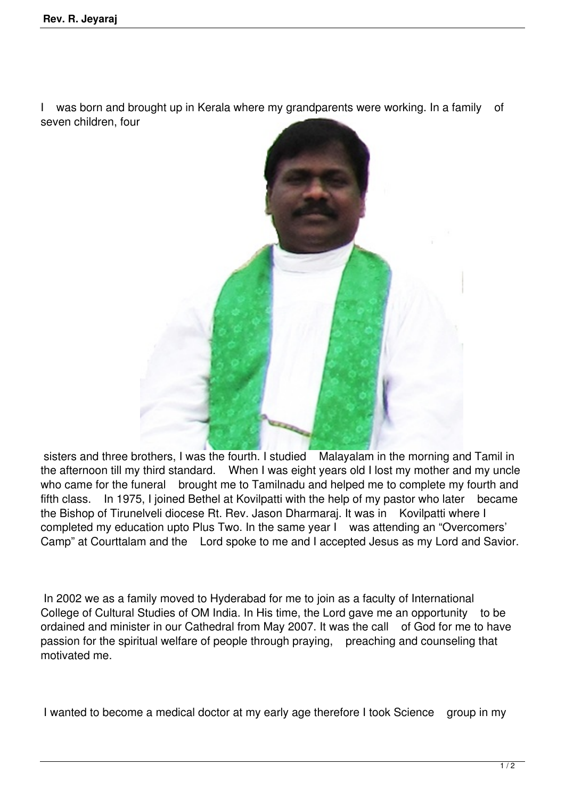I was born and brought up in Kerala where my grandparents were working. In a family of seven children, four



sisters and three brothers, I was the fourth. I studied Malayalam in the morning and Tamil in the afternoon till my third standard. When I was eight years old I lost my mother and my uncle who came for the funeral brought me to Tamilnadu and helped me to complete my fourth and fifth class. In 1975, I joined Bethel at Kovilpatti with the help of my pastor who later became the Bishop of Tirunelveli diocese Rt. Rev. Jason Dharmaraj. It was in Kovilpatti where I completed my education upto Plus Two. In the same year I was attending an "Overcomers' Camp" at Courttalam and the Lord spoke to me and I accepted Jesus as my Lord and Savior.

 In 2002 we as a family moved to Hyderabad for me to join as a faculty of International College of Cultural Studies of OM India. In His time, the Lord gave me an opportunity to be ordained and minister in our Cathedral from May 2007. It was the call of God for me to have passion for the spiritual welfare of people through praying, preaching and counseling that motivated me.

I wanted to become a medical doctor at my early age therefore I took Science group in my